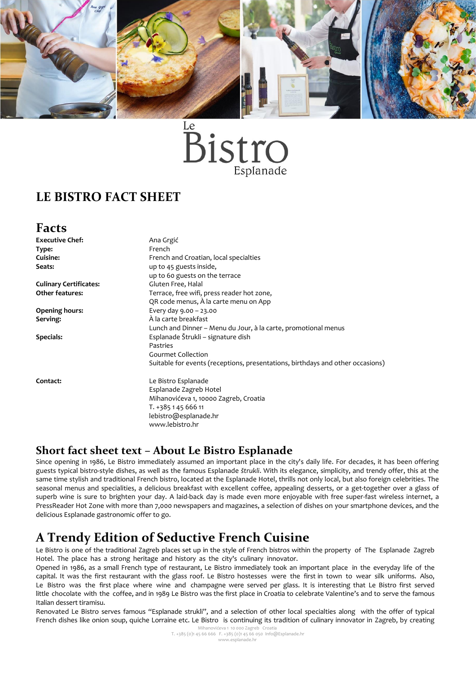



# **LE BISTRO FACT SHEET**

| <b>Facts</b>                  |                                                                                |
|-------------------------------|--------------------------------------------------------------------------------|
| <b>Executive Chef:</b>        | Ana Grgić                                                                      |
| Type:                         | French                                                                         |
| Cuisine:                      | French and Croatian, local specialties                                         |
| Seats:                        | up to 45 guests inside,                                                        |
|                               | up to 60 guests on the terrace                                                 |
| <b>Culinary Certificates:</b> | Gluten Free, Halal                                                             |
| <b>Other features:</b>        | Terrace, free wifi, press reader hot zone,                                     |
|                               | QR code menus, À la carte menu on App                                          |
| <b>Opening hours:</b>         | Every day 9.00 - 23.00                                                         |
| Serving:                      | À la carte breakfast                                                           |
|                               | Lunch and Dinner - Menu du Jour, à la carte, promotional menus                 |
| Specials:                     | Esplanade Štrukli - signature dish                                             |
|                               | Pastries                                                                       |
|                               | <b>Gourmet Collection</b>                                                      |
|                               | Suitable for events (receptions, presentations, birthdays and other occasions) |
| Contact:                      | Le Bistro Esplanade                                                            |
|                               | Esplanade Zagreb Hotel                                                         |
|                               | Mihanovićeva 1, 10000 Zagreb, Croatia                                          |
|                               | T. +385 1 45 666 11                                                            |
|                               | lebistro@esplanade.hr                                                          |
|                               | www.lebistro.hr                                                                |
|                               |                                                                                |
|                               | Short fact sheet text - About Le Ristro Fsplanade                              |

# **Short fact sheet text – About Le Bistro Esplanade**

Since opening in 1986, Le Bistro immediately assumed an important place in the city's daily life. For decades, it has been offering guests typical bistro-style dishes, as well as the famous Esplanade *štrukli*. With its elegance, simplicity, and trendy offer, this at the same time stylish and traditional French bistro, located at the Esplanade Hotel, thrills not only local, but also foreign celebrities. The seasonal menus and specialities, a delicious breakfast with excellent coffee, appealing desserts, or a get-together over a glass of superb wine is sure to brighten your day. A laid-back day is made even more enjoyable with free super-fast wireless internet, a PressReader Hot Zone with more than 7,000 newspapers and magazines, a selection of dishes on your smartphone devices, and the delicious Esplanade gastronomic offer to go.

# **A Trendy Edition of Seductive French Cuisine**

Le Bistro is one of the traditional Zagreb places set up in the style of French bistros within the property of The Esplanade Zagreb Hotel. The place has a strong heritage and history as the city's culinary innovator.

Opened in 1986, as a small French type of restaurant, Le Bistro immediately took an important place in the everyday life of the capital. It was the first restaurant with the glass roof. Le Bistro hostesses were the first in town to wear silk uniforms. Also, Le Bistro was the first place where wine and champagne were served per glass. It is interesting that Le Bistro first served little chocolate with the coffee, and in 1989 Le Bistro was the first place in Croatia to celebrate Valentine's and to serve the famous Italian dessert tiramisu.

Renovated Le Bistro serves famous "Esplanade strukli", and a selection of other local specialties along with the offer of typical French dishes like onion soup, quiche Lorraine etc. Le Bistro is continuing its tradition of culinary innovator in Zagreb, by creating